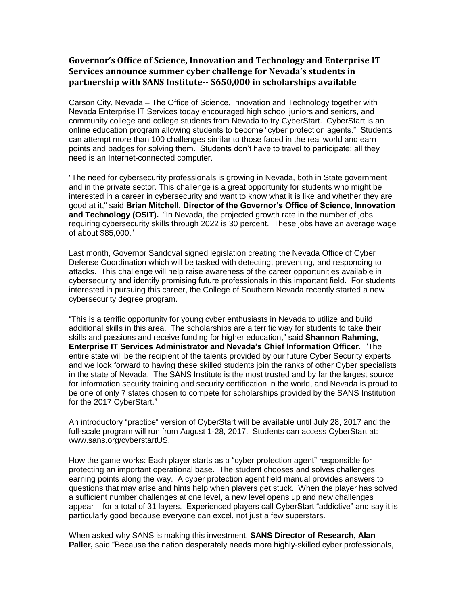## **Governor's Office of Science, Innovation and Technology and Enterprise IT Services announce summer cyber challenge for Nevada's students in partnership with SANS Institute-- \$650,000 in scholarships available**

Carson City, Nevada – The Office of Science, Innovation and Technology together with Nevada Enterprise IT Services today encouraged high school juniors and seniors, and community college and college students from Nevada to try CyberStart. CyberStart is an online education program allowing students to become "cyber protection agents." Students can attempt more than 100 challenges similar to those faced in the real world and earn points and badges for solving them. Students don't have to travel to participate; all they need is an Internet-connected computer.

"The need for cybersecurity professionals is growing in Nevada, both in State government and in the private sector. This challenge is a great opportunity for students who might be interested in a career in cybersecurity and want to know what it is like and whether they are good at it," said **Brian Mitchell, Director of the Governor's Office of Science, Innovation and Technology (OSIT).** "In Nevada, the projected growth rate in the number of jobs requiring cybersecurity skills through 2022 is 30 percent. These jobs have an average wage of about \$85,000."

Last month, Governor Sandoval signed legislation creating the Nevada Office of Cyber Defense Coordination which will be tasked with detecting, preventing, and responding to attacks. This challenge will help raise awareness of the career opportunities available in cybersecurity and identify promising future professionals in this important field. For students interested in pursuing this career, the College of Southern Nevada recently started a new cybersecurity degree program.

"This is a terrific opportunity for young cyber enthusiasts in Nevada to utilize and build additional skills in this area. The scholarships are a terrific way for students to take their skills and passions and receive funding for higher education," said **Shannon Rahming, Enterprise IT Services Administrator and Nevada's Chief Information Officer**. "The entire state will be the recipient of the talents provided by our future Cyber Security experts and we look forward to having these skilled students join the ranks of other Cyber specialists in the state of Nevada. The SANS Institute is the most trusted and by far the largest source for information security training and security certification in the world, and Nevada is proud to be one of only 7 states chosen to compete for scholarships provided by the SANS Institution for the 2017 CyberStart."

An introductory "practice" version of CyberStart will be available until July 28, 2017 and the full-scale program will run from August 1-28, 2017. Students can access CyberStart at: www.sans.org/cyberstartUS.

How the game works: Each player starts as a "cyber protection agent" responsible for protecting an important operational base. The student chooses and solves challenges, earning points along the way. A cyber protection agent field manual provides answers to questions that may arise and hints help when players get stuck. When the player has solved a sufficient number challenges at one level, a new level opens up and new challenges appear – for a total of 31 layers. Experienced players call CyberStart "addictive" and say it is particularly good because everyone can excel, not just a few superstars.

When asked why SANS is making this investment, **SANS Director of Research, Alan Paller,** said "Because the nation desperately needs more highly-skilled cyber professionals,